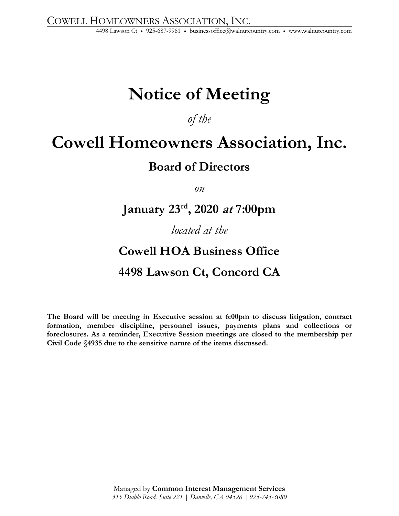# **Notice of Meeting**

*of the* 

## **Cowell Homeowners Association, Inc.**

### **Board of Directors**

*on* 

### **January 23rd, 2020 at 7:00pm**

### *located at the*

## **Cowell HOA Business Office 4498 Lawson Ct, Concord CA**

**The Board will be meeting in Executive session at 6:00pm to discuss litigation, contract formation, member discipline, personnel issues, payments plans and collections or foreclosures. As a reminder, Executive Session meetings are closed to the membership per Civil Code §4935 due to the sensitive nature of the items discussed.**